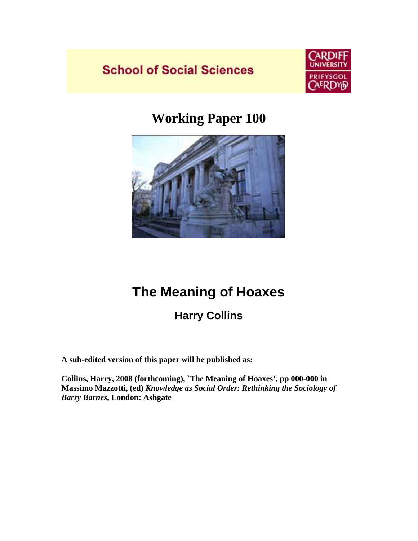**School of Social Sciences** 



## **Working Paper 100**



# **The Meaning of Hoaxes**

### **Harry Collins**

**A sub-edited version of this paper will be published as:** 

**Collins, Harry, 2008 (forthcoming), `The Meaning of Hoaxes', pp 000-000 in Massimo Mazzotti, (ed)** *Knowledge as Social Order: Rethinking the Sociology of Barry Barnes***, London: Ashgate**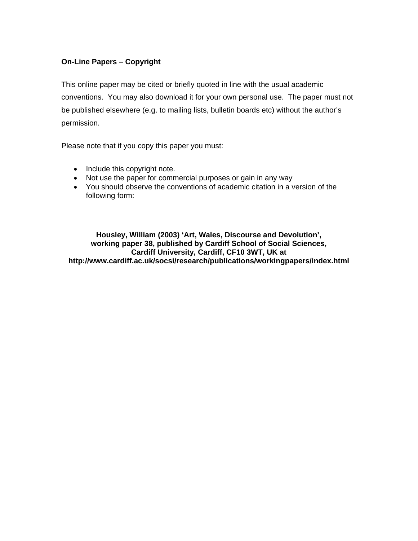#### **On-Line Papers – Copyright**

This online paper may be cited or briefly quoted in line with the usual academic conventions. You may also download it for your own personal use. The paper must not be published elsewhere (e.g. to mailing lists, bulletin boards etc) without the author's permission.

Please note that if you copy this paper you must:

- Include this copyright note.
- Not use the paper for commercial purposes or gain in any way
- You should observe the conventions of academic citation in a version of the following form:

**Housley, William (2003) 'Art, Wales, Discourse and Devolution', working paper 38, published by Cardiff School of Social Sciences, Cardiff University, Cardiff, CF10 3WT, UK at http://www.cardiff.ac.uk/socsi/research/publications/workingpapers/index.html**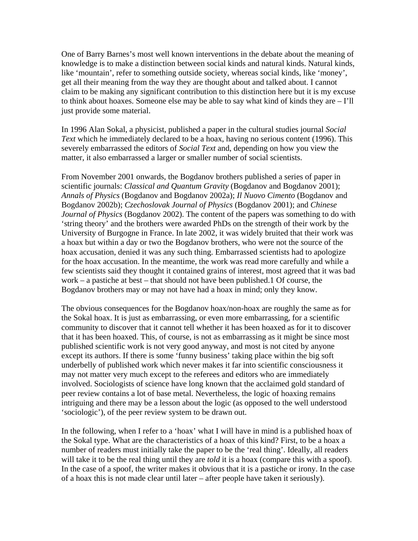One of Barry Barnes's most well known interventions in the debate about the meaning of knowledge is to make a distinction between social kinds and natural kinds. Natural kinds, like 'mountain', refer to something outside society, whereas social kinds, like 'money', get all their meaning from the way they are thought about and talked about. I cannot claim to be making any significant contribution to this distinction here but it is my excuse to think about hoaxes. Someone else may be able to say what kind of kinds they are – I'll just provide some material.

In 1996 Alan Sokal, a physicist, published a paper in the cultural studies journal *Social Text* which he immediately declared to be a hoax, having no serious content (1996). This severely embarrassed the editors of *Social Text* and, depending on how you view the matter, it also embarrassed a larger or smaller number of social scientists.

From November 2001 onwards, the Bogdanov brothers published a series of paper in scientific journals: *Classical and Quantum Gravity* (Bogdanov and Bogdanov 2001); *Annals of Physics* (Bogdanov and Bogdanov 2002a); *Il Nuovo Cimento* (Bogdanov and Bogdanov 2002b); *Czechoslovak Journal of Physics* (Bogdanov 2001); and *Chinese Journal of Physics* (Bogdanov 2002). The content of the papers was something to do with 'string theory' and the brothers were awarded PhDs on the strength of their work by the University of Burgogne in France. In late 2002, it was widely bruited that their work was a hoax but within a day or two the Bogdanov brothers, who were not the source of the hoax accusation, denied it was any such thing. Embarrassed scientists had to apologize for the hoax accusation. In the meantime, the work was read more carefully and while a few scientists said they thought it contained grains of interest, most agreed that it was bad work – a pastiche at best – that should not have been published.1 Of course, the Bogdanov brothers may or may not have had a hoax in mind; only they know.

The obvious consequences for the Bogdanov hoax/non-hoax are roughly the same as for the Sokal hoax. It is just as embarrassing, or even more embarrassing, for a scientific community to discover that it cannot tell whether it has been hoaxed as for it to discover that it has been hoaxed. This, of course, is not as embarrassing as it might be since most published scientific work is not very good anyway, and most is not cited by anyone except its authors. If there is some 'funny business' taking place within the big soft underbelly of published work which never makes it far into scientific consciousness it may not matter very much except to the referees and editors who are immediately involved. Sociologists of science have long known that the acclaimed gold standard of peer review contains a lot of base metal. Nevertheless, the logic of hoaxing remains intriguing and there may be a lesson about the logic (as opposed to the well understood 'sociologic'), of the peer review system to be drawn out.

In the following, when I refer to a 'hoax' what I will have in mind is a published hoax of the Sokal type. What are the characteristics of a hoax of this kind? First, to be a hoax a number of readers must initially take the paper to be the 'real thing'. Ideally, all readers will take it to be the real thing until they are *told* it is a hoax (compare this with a spoof). In the case of a spoof, the writer makes it obvious that it is a pastiche or irony. In the case of a hoax this is not made clear until later – after people have taken it seriously).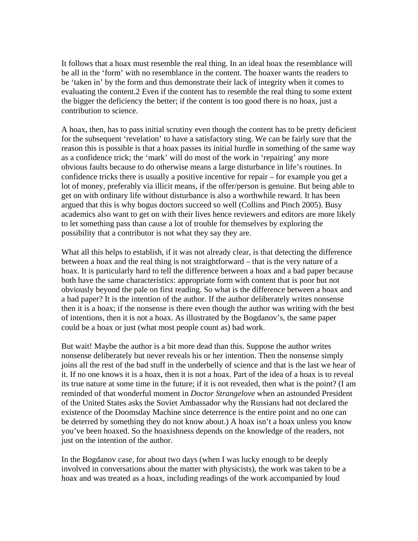It follows that a hoax must resemble the real thing. In an ideal hoax the resemblance will be all in the 'form' with no resemblance in the content. The hoaxer wants the readers to be 'taken in' by the form and thus demonstrate their lack of integrity when it comes to evaluating the content.2 Even if the content has to resemble the real thing to some extent the bigger the deficiency the better; if the content is too good there is no hoax, just a contribution to science.

A hoax, then, has to pass initial scrutiny even though the content has to be pretty deficient for the subsequent 'revelation' to have a satisfactory sting. We can be fairly sure that the reason this is possible is that a hoax passes its initial hurdle in something of the same way as a confidence trick; the 'mark' will do most of the work in 'repairing' any more obvious faults because to do otherwise means a large disturbance in life's routines. In confidence tricks there is usually a positive incentive for repair – for example you get a lot of money, preferably via illicit means, if the offer/person is genuine. But being able to get on with ordinary life without disturbance is also a worthwhile reward. It has been argued that this is why bogus doctors succeed so well (Collins and Pinch 2005). Busy academics also want to get on with their lives hence reviewers and editors are more likely to let something pass than cause a lot of trouble for themselves by exploring the possibility that a contributor is not what they say they are.

What all this helps to establish, if it was not already clear, is that detecting the difference between a hoax and the real thing is not straightforward – that is the very nature of a hoax. It is particularly hard to tell the difference between a hoax and a bad paper because both have the same characteristics: appropriate form with content that is poor but not obviously beyond the pale on first reading. So what is the difference between a hoax and a bad paper? It is the intention of the author. If the author deliberately writes nonsense then it is a hoax; if the nonsense is there even though the author was writing with the best of intentions, then it is not a hoax. As illustrated by the Bogdanov's, the same paper could be a hoax or just (what most people count as) bad work.

But wait! Maybe the author is a bit more dead than this. Suppose the author writes nonsense deliberately but never reveals his or her intention. Then the nonsense simply joins all the rest of the bad stuff in the underbelly of science and that is the last we hear of it. If no one knows it is a hoax, then it is not a hoax. Part of the idea of a hoax is to reveal its true nature at some time in the future; if it is not revealed, then what is the point? (I am reminded of that wonderful moment in *Doctor Strangelove* when an astounded President of the United States asks the Soviet Ambassador why the Russians had not declared the existence of the Doomsday Machine since deterrence is the entire point and no one can be deterred by something they do not know about.) A hoax isn't a hoax unless you know you've been hoaxed. So the hoaxishness depends on the knowledge of the readers, not just on the intention of the author.

In the Bogdanov case, for about two days (when I was lucky enough to be deeply involved in conversations about the matter with physicists), the work was taken to be a hoax and was treated as a hoax, including readings of the work accompanied by loud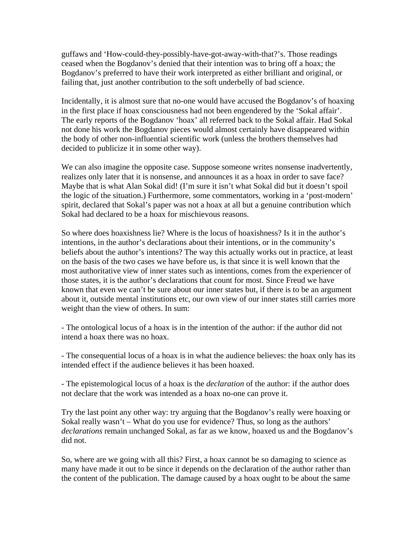guffaws and 'How-could-they-possibly-have-got-away-with-that?'s. Those readings ceased when the Bogdanov's denied that their intention was to bring off a hoax; the Bogdanov's preferred to have their work interpreted as either brilliant and original, or failing that, just another contribution to the soft underbelly of bad science.

Incidentally, it is almost sure that no-one would have accused the Bogdanov's of hoaxing in the first place if hoax consciousness had not been engendered by the 'Sokal affair'. The early reports of the Bogdanov 'hoax' all referred back to the Sokal affair. Had Sokal not done his work the Bogdanov pieces would almost certainly have disappeared within the body of other non-influential scientific work (unless the brothers themselves had decided to publicize it in some other way).

We can also imagine the opposite case. Suppose someone writes nonsense inadvertently, realizes only later that it is nonsense, and announces it as a hoax in order to save face? Maybe that is what Alan Sokal did! (I'm sure it isn't what Sokal did but it doesn't spoil the logic of the situation.) Furthermore, some commentators, working in a 'post-modern' spirit, declared that Sokal's paper was not a hoax at all but a genuine contribution which Sokal had declared to be a hoax for mischievous reasons.

So where does hoaxishness lie? Where is the locus of hoaxishness? Is it in the author's intentions, in the author's declarations about their intentions, or in the community's beliefs about the author's intentions? The way this actually works out in practice, at least on the basis of the two cases we have before us, is that since it is well known that the most authoritative view of inner states such as intentions, comes from the experiencer of those states, it is the author's declarations that count for most. Since Freud we have known that even we can't be sure about our inner states but, if there is to be an argument about it, outside mental institutions etc, our own view of our inner states still carries more weight than the view of others. In sum:

- The ontological locus of a hoax is in the intention of the author: if the author did not intend a hoax there was no hoax.

- The consequential locus of a hoax is in what the audience believes: the hoax only has its intended effect if the audience believes it has been hoaxed.

- The epistemological locus of a hoax is the *declaration* of the author: if the author does not declare that the work was intended as a hoax no-one can prove it.

Try the last point any other way: try arguing that the Bogdanov's really were hoaxing or Sokal really wasn't – What do you use for evidence? Thus, so long as the authors' *declarations* remain unchanged Sokal, as far as we know, hoaxed us and the Bogdanov's did not.

So, where are we going with all this? First, a hoax cannot be so damaging to science as many have made it out to be since it depends on the declaration of the author rather than the content of the publication. The damage caused by a hoax ought to be about the same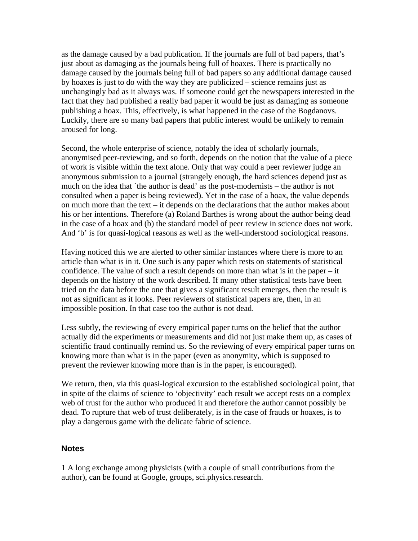as the damage caused by a bad publication. If the journals are full of bad papers, that's just about as damaging as the journals being full of hoaxes. There is practically no damage caused by the journals being full of bad papers so any additional damage caused by hoaxes is just to do with the way they are publicized – science remains just as unchangingly bad as it always was. If someone could get the newspapers interested in the fact that they had published a really bad paper it would be just as damaging as someone publishing a hoax. This, effectively, is what happened in the case of the Bogdanovs. Luckily, there are so many bad papers that public interest would be unlikely to remain aroused for long.

Second, the whole enterprise of science, notably the idea of scholarly journals, anonymised peer-reviewing, and so forth, depends on the notion that the value of a piece of work is visible within the text alone. Only that way could a peer reviewer judge an anonymous submission to a journal (strangely enough, the hard sciences depend just as much on the idea that `the author is dead' as the post-modernists – the author is not consulted when a paper is being reviewed). Yet in the case of a hoax, the value depends on much more than the text – it depends on the declarations that the author makes about his or her intentions. Therefore (a) Roland Barthes is wrong about the author being dead in the case of a hoax and (b) the standard model of peer review in science does not work. And 'b' is for quasi-logical reasons as well as the well-understood sociological reasons.

Having noticed this we are alerted to other similar instances where there is more to an article than what is in it. One such is any paper which rests on statements of statistical confidence. The value of such a result depends on more than what is in the paper – it depends on the history of the work described. If many other statistical tests have been tried on the data before the one that gives a significant result emerges, then the result is not as significant as it looks. Peer reviewers of statistical papers are, then, in an impossible position. In that case too the author is not dead.

Less subtly, the reviewing of every empirical paper turns on the belief that the author actually did the experiments or measurements and did not just make them up, as cases of scientific fraud continually remind us. So the reviewing of every empirical paper turns on knowing more than what is in the paper (even as anonymity, which is supposed to prevent the reviewer knowing more than is in the paper, is encouraged).

We return, then, via this quasi-logical excursion to the established sociological point, that in spite of the claims of science to 'objectivity' each result we accept rests on a complex web of trust for the author who produced it and therefore the author cannot possibly be dead. To rupture that web of trust deliberately, is in the case of frauds or hoaxes, is to play a dangerous game with the delicate fabric of science.

#### **Notes**

1 A long exchange among physicists (with a couple of small contributions from the author), can be found at Google, groups, sci.physics.research.